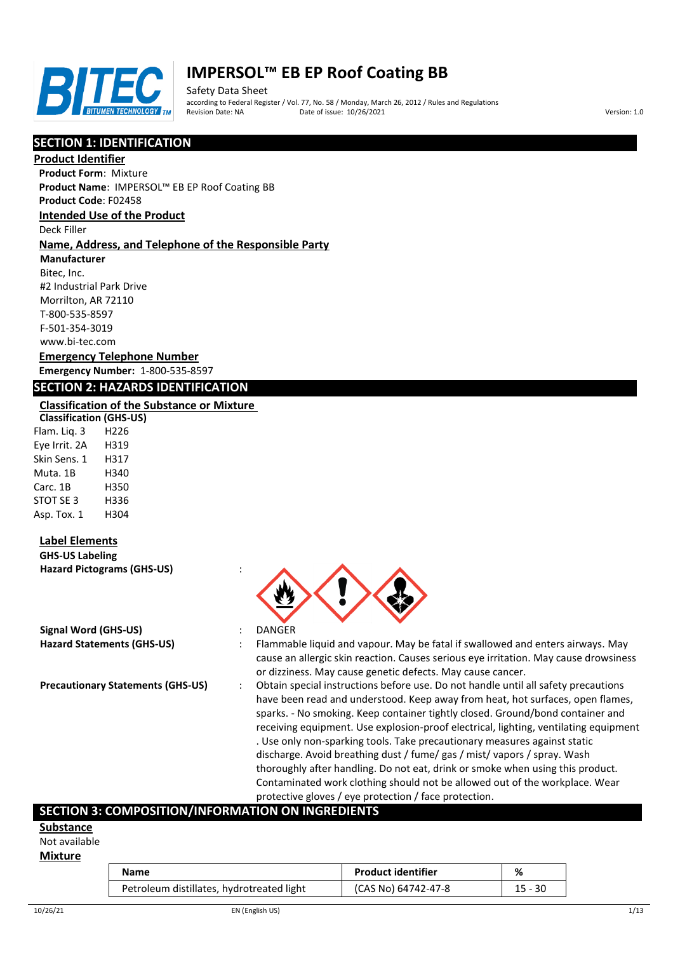

Safety Data Sheet according to Federal Register / Vol. 77, No. 58 / Monday, March 26, 2012 / Rules and Regulations Pate of issue: 10/26/2021 **Version: 1.0** 

## **SECTION 1: IDENTIFICATION**

#### **Product Identifier**

**Product Form**: Mixture **Product Name**: IMPERSOL™ EB EP Roof Coating BB **Product Code**: F02458

#### **Intended Use of the Product**

Deck Filler

### **Name, Address, and Telephone of the Responsible Party**

**Manufacturer**

Bitec, Inc. #2 Industrial Park Drive Morrilton, AR 72110 T-800-535-8597 F-501-354-3019 www.bi-tec.com

#### **Emergency Telephone Number Emergency Number:** 1-800-535-8597

## **SECTION 2: HAZARDS IDENTIFICATION**

### **Classification of the Substance or Mixture**

**Classification (GHS-US)** Flam. Liq. 3 H226 Eye Irrit. 2A H319 Skin Sens. 1 H317 Muta. 1B H340 Carc. 1B H350 STOT SE 3 H336 Asp. Tox. 1 H304

## **Label Elements**

**GHS-US Labeling Hazard Pictograms (GHS-US)** :

| Signal Word (GHS-US)              | DANGER  |
|-----------------------------------|---------|
| <b>Hazard Statements (GHS-US)</b> | Flammab |

- 
- 
- **Hazard Statements (GHS-US)** : Flammable liquid and vapour. May be fatal if swallowed and enters airways. May cause an allergic skin reaction. Causes serious eye irritation. May cause drowsiness or dizziness. May cause genetic defects. May cause cancer.
- **Precautionary Statements (GHS-US)** : Obtain special instructions before use. Do not handle until all safety precautions have been read and understood. Keep away from heat, hot surfaces, open flames, sparks. - No smoking. Keep container tightly closed. Ground/bond container and receiving equipment. Use explosion-proof electrical, lighting, ventilating equipment . Use only non-sparking tools. Take precautionary measures against static discharge. Avoid breathing dust / fume/ gas / mist/ vapors / spray. Wash thoroughly after handling. Do not eat, drink or smoke when using this product. Contaminated work clothing should not be allowed out of the workplace. Wear protective gloves / eye protection / face protection.

## **SECTION 3: COMPOSITION/INFORMATION ON INGREDIENTS**

#### **Substance**

Not available

#### **Mixture**

| Name                                      | <b>Product identifier</b> | %         |
|-------------------------------------------|---------------------------|-----------|
| Petroleum distillates, hydrotreated light | (CAS No) 64742-47-8       | $15 - 30$ |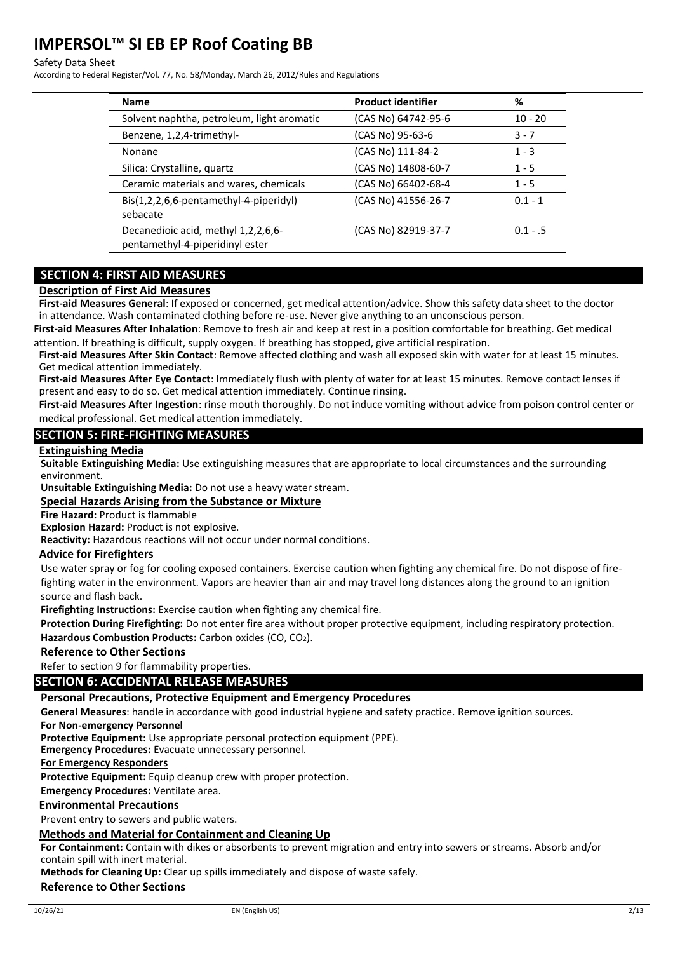#### Safety Data Sheet

According to Federal Register/Vol. 77, No. 58/Monday, March 26, 2012/Rules and Regulations

| <b>Name</b>                                                            | <b>Product identifier</b> | %         |
|------------------------------------------------------------------------|---------------------------|-----------|
| Solvent naphtha, petroleum, light aromatic                             | (CAS No) 64742-95-6       | $10 - 20$ |
| Benzene, 1,2,4-trimethyl-                                              | (CAS No) 95-63-6          | $3 - 7$   |
| Nonane                                                                 | (CAS No) 111-84-2         | $1 - 3$   |
| Silica: Crystalline, quartz                                            | (CAS No) 14808-60-7       | $1 - 5$   |
| Ceramic materials and wares, chemicals                                 | (CAS No) 66402-68-4       | $1 - 5$   |
| Bis(1,2,2,6,6-pentamethyl-4-piperidyl)<br>sebacate                     | (CAS No) 41556-26-7       | $0.1 - 1$ |
| Decanedioic acid, methyl 1,2,2,6,6-<br>pentamethyl-4-piperidinyl ester | (CAS No) 82919-37-7       | $0.1 - 5$ |

## **SECTION 4: FIRST AID MEASURES**

#### **Description of First Aid Measures**

**First-aid Measures General**: If exposed or concerned, get medical attention/advice. Show this safety data sheet to the doctor in attendance. Wash contaminated clothing before re-use. Never give anything to an unconscious person.

**First-aid Measures After Inhalation**: Remove to fresh air and keep at rest in a position comfortable for breathing. Get medical attention. If breathing is difficult, supply oxygen. If breathing has stopped, give artificial respiration.

**First-aid Measures After Skin Contact**: Remove affected clothing and wash all exposed skin with water for at least 15 minutes. Get medical attention immediately.

**First-aid Measures After Eye Contact**: Immediately flush with plenty of water for at least 15 minutes. Remove contact lenses if present and easy to do so. Get medical attention immediately. Continue rinsing.

**First-aid Measures After Ingestion**: rinse mouth thoroughly. Do not induce vomiting without advice from poison control center or medical professional. Get medical attention immediately.

### **SECTION 5: FIRE-FIGHTING MEASURES**

#### **Extinguishing Media**

**Suitable Extinguishing Media:** Use extinguishing measures that are appropriate to local circumstances and the surrounding environment.

**Unsuitable Extinguishing Media:** Do not use a heavy water stream.

### **Special Hazards Arising from the Substance or Mixture**

**Fire Hazard:** Product is flammable

**Explosion Hazard:** Product is not explosive.

**Reactivity:** Hazardous reactions will not occur under normal conditions.

#### **Advice for Firefighters**

Use water spray or fog for cooling exposed containers. Exercise caution when fighting any chemical fire. Do not dispose of firefighting water in the environment. Vapors are heavier than air and may travel long distances along the ground to an ignition source and flash back.

**Firefighting Instructions:** Exercise caution when fighting any chemical fire.

**Protection During Firefighting:** Do not enter fire area without proper protective equipment, including respiratory protection. Hazardous Combustion Products: Carbon oxides (CO, CO<sub>2</sub>).

#### **Reference to Other Sections**

Refer to section 9 for flammability properties.

## **SECTION 6: ACCIDENTAL RELEASE MEASURES**

#### **Personal Precautions, Protective Equipment and Emergency Procedures**

**General Measures**: handle in accordance with good industrial hygiene and safety practice. Remove ignition sources.

**For Non-emergency Personnel**

**Protective Equipment:** Use appropriate personal protection equipment (PPE).

**Emergency Procedures:** Evacuate unnecessary personnel.

**For Emergency Responders**

**Protective Equipment:** Equip cleanup crew with proper protection.

**Emergency Procedures:** Ventilate area.

## **Environmental Precautions**

Prevent entry to sewers and public waters.

## **Methods and Material for Containment and Cleaning Up**

**For Containment:** Contain with dikes or absorbents to prevent migration and entry into sewers or streams. Absorb and/or contain spill with inert material.

**Methods for Cleaning Up:** Clear up spills immediately and dispose of waste safely.

## **Reference to Other Sections**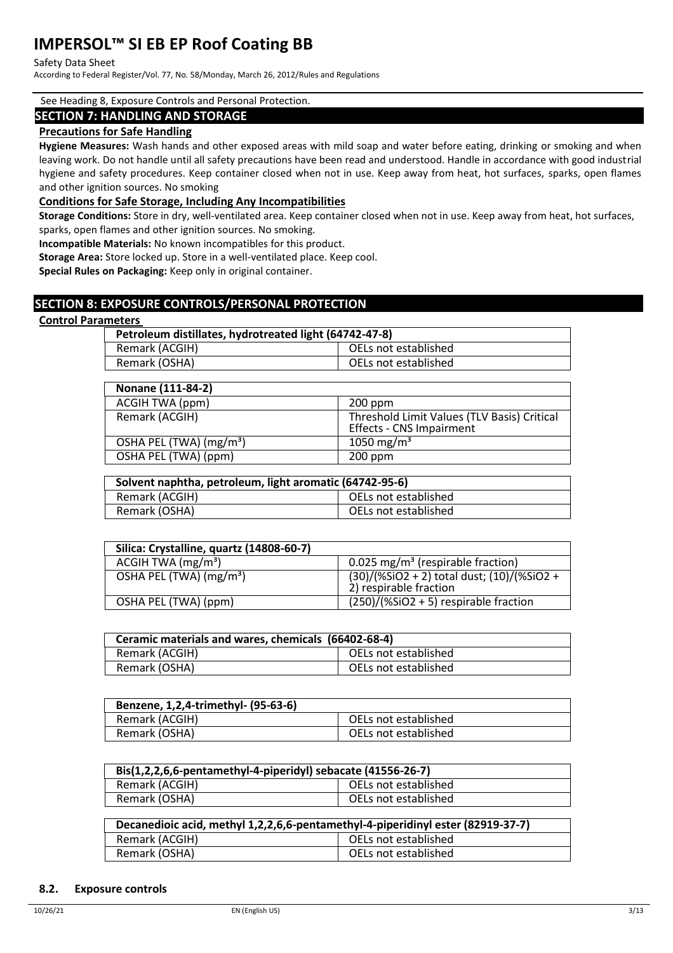#### Safety Data Sheet

According to Federal Register/Vol. 77, No. 58/Monday, March 26, 2012/Rules and Regulations

#### See Heading 8, Exposure Controls and Personal Protection.

#### **SECTION 7: HANDLING AND STORAGE**

#### **Precautions for Safe Handling**

**Hygiene Measures:** Wash hands and other exposed areas with mild soap and water before eating, drinking or smoking and when leaving work. Do not handle until all safety precautions have been read and understood. Handle in accordance with good industrial hygiene and safety procedures. Keep container closed when not in use. Keep away from heat, hot surfaces, sparks, open flames and other ignition sources. No smoking

#### **Conditions for Safe Storage, Including Any Incompatibilities**

**Storage Conditions:** Store in dry, well-ventilated area. Keep container closed when not in use. Keep away from heat, hot surfaces, sparks, open flames and other ignition sources. No smoking.

**Incompatible Materials:** No known incompatibles for this product.

**Storage Area:** Store locked up. Store in a well-ventilated place. Keep cool.

**Special Rules on Packaging:** Keep only in original container.

## **SECTION 8: EXPOSURE CONTROLS/PERSONAL PROTECTION**

#### **Control Parameters**

| Petroleum distillates, hydrotreated light (64742-47-8) |                      |
|--------------------------------------------------------|----------------------|
| Remark (ACGIH)                                         | OELs not established |
| Remark (OSHA)                                          | OELs not established |

| Nonane (111-84-2)                   |                                                                                |
|-------------------------------------|--------------------------------------------------------------------------------|
| ACGIH TWA (ppm)                     | $200$ ppm                                                                      |
| Remark (ACGIH)                      | Threshold Limit Values (TLV Basis) Critical<br><b>Effects - CNS Impairment</b> |
| OSHA PEL (TWA) (mg/m <sup>3</sup> ) | 1050 mg/m <sup>3</sup>                                                         |
| OSHA PEL (TWA) (ppm)                | $200$ ppm                                                                      |

| Solvent naphtha, petroleum, light aromatic (64742-95-6) |                      |
|---------------------------------------------------------|----------------------|
| Remark (ACGIH)                                          | OELs not established |
| Remark (OSHA)                                           | OELs not established |

| Silica: Crystalline, quartz (14808-60-7) |                                                                      |
|------------------------------------------|----------------------------------------------------------------------|
| ACGIH TWA $(mg/m3)$                      | 0.025 mg/m <sup>3</sup> (respirable fraction)                        |
| OSHA PEL (TWA) (mg/m <sup>3</sup> )      | (30)/(%SiO2 + 2) total dust; (10)/(%SiO2 +<br>2) respirable fraction |
| OSHA PEL (TWA) (ppm)                     | $(250)/(%SiO2 + 5)$ respirable fraction                              |

| Ceramic materials and wares, chemicals (66402-68-4) |                      |
|-----------------------------------------------------|----------------------|
| Remark (ACGIH)                                      | OELs not established |
| Remark (OSHA)                                       | OELs not established |

| Benzene, 1,2,4-trimethyl- (95-63-6) |                      |
|-------------------------------------|----------------------|
| Remark (ACGIH)                      | OELs not established |
| Remark (OSHA)                       | OELs not established |

| Bis(1,2,2,6,6-pentamethyl-4-piperidyl) sebacate (41556-26-7) |                      |
|--------------------------------------------------------------|----------------------|
| Remark (ACGIH)                                               | OELs not established |
| Remark (OSHA)                                                | OELs not established |

| Decanedioic acid, methyl 1,2,2,6,6-pentamethyl-4-piperidinyl ester (82919-37-7) |                      |
|---------------------------------------------------------------------------------|----------------------|
| Remark (ACGIH)                                                                  | OELs not established |
| Remark (OSHA)                                                                   | OELs not established |

#### **8.2. Exposure controls**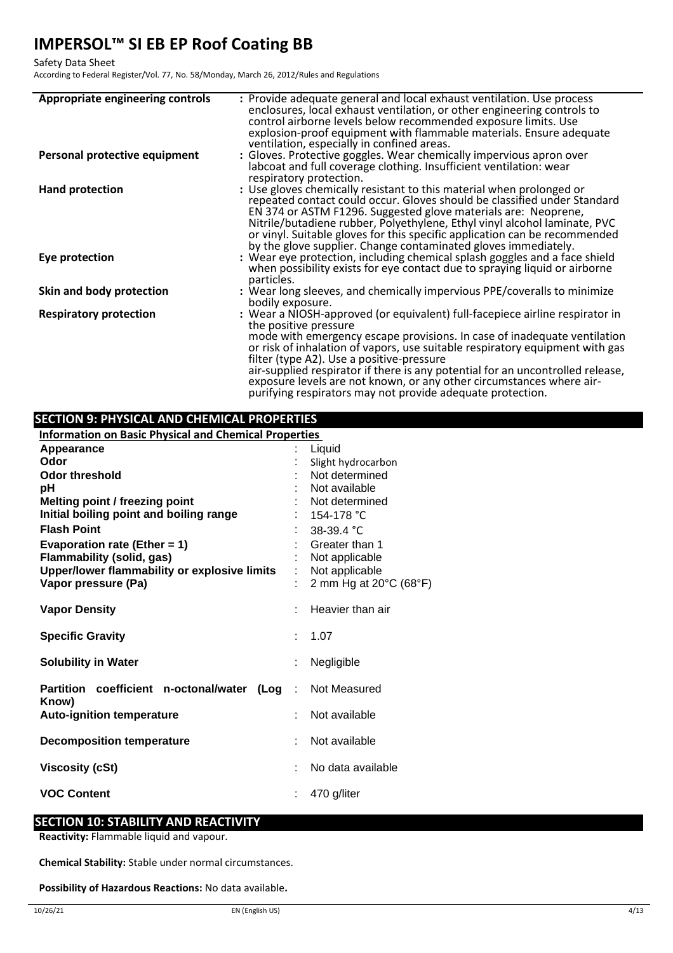#### Safety Data Sheet

According to Federal Register/Vol. 77, No. 58/Monday, March 26, 2012/Rules and Regulations

| Appropriate engineering controls | : Provide adequate general and local exhaust ventilation. Use process<br>enclosures, local exhaust ventilation, or other engineering controls to<br>control airborne levels below recommended exposure limits. Use<br>explosion-proof equipment with flammable materials. Ensure adequate<br>ventilation, especially in confined areas.                                                                                                                                                                                                |
|----------------------------------|----------------------------------------------------------------------------------------------------------------------------------------------------------------------------------------------------------------------------------------------------------------------------------------------------------------------------------------------------------------------------------------------------------------------------------------------------------------------------------------------------------------------------------------|
| Personal protective equipment    | : Gloves. Protective goggles. Wear chemically impervious apron over<br>labcoat and full coverage clothing. Insufficient ventilation: wear<br>respiratory protection.                                                                                                                                                                                                                                                                                                                                                                   |
| <b>Hand protection</b>           | : Use gloves chemically resistant to this material when prolonged or<br>repeated contact could occur. Gloves should be classified under Standard<br>EN 374 or ASTM F1296. Suggested glove materials are: Neoprene,<br>Nitrile/butadiene rubber, Polyethylene, Ethyl vinyl alcohol laminate, PVC<br>or vinyl. Suitable gloves for this specific application can be recommended<br>by the glove supplier. Change contaminated gloves immediately.                                                                                        |
| Eye protection                   | : Wear eye protection, including chemical splash goggles and a face shield<br>when possibility exists for eye contact due to spraying liquid or airborne<br>particles.                                                                                                                                                                                                                                                                                                                                                                 |
| Skin and body protection         | : Wear long sleeves, and chemically impervious PPE/coveralls to minimize<br>bodily exposure.                                                                                                                                                                                                                                                                                                                                                                                                                                           |
| <b>Respiratory protection</b>    | : Wear a NIOSH-approved (or equivalent) full-facepiece airline respirator in<br>the positive pressure<br>mode with emergency escape provisions. In case of inadequate ventilation<br>or risk of inhalation of vapors, use suitable respiratory equipment with gas<br>filter (type A2). Use a positive-pressure<br>air-supplied respirator if there is any potential for an uncontrolled release,<br>exposure levels are not known, or any other circumstances where air-<br>purifying respirators may not provide adequate protection. |

## **SECTION 9: PHYSICAL AND CHEMICAL PROPERTIES**

| <b>Information on Basic Physical and Chemical Properties</b> |    |                        |  |  |
|--------------------------------------------------------------|----|------------------------|--|--|
| Appearance                                                   |    | Liquid                 |  |  |
| Odor                                                         |    | Slight hydrocarbon     |  |  |
| Odor threshold                                               |    | Not determined         |  |  |
| рH                                                           |    | Not available          |  |  |
| Melting point / freezing point                               |    | Not determined         |  |  |
| Initial boiling point and boiling range                      |    | 154-178 °C             |  |  |
| <b>Flash Point</b>                                           |    | $38-39.4$ °C           |  |  |
| Evaporation rate (Ether = 1)                                 |    | Greater than 1         |  |  |
| <b>Flammability (solid, gas)</b>                             |    | Not applicable         |  |  |
| Upper/lower flammability or explosive limits                 |    | Not applicable         |  |  |
| Vapor pressure (Pa)                                          |    | 2 mm Hg at 20°C (68°F) |  |  |
| <b>Vapor Density</b>                                         |    | Heavier than air       |  |  |
| <b>Specific Gravity</b>                                      | ÷. | 1.07                   |  |  |
| <b>Solubility in Water</b>                                   |    | Negligible             |  |  |
| Partition coefficient n-octonal/water<br>(Loq<br>Know)       |    | Not Measured           |  |  |
| <b>Auto-ignition temperature</b>                             | ÷  | Not available          |  |  |
| <b>Decomposition temperature</b>                             |    | Not available          |  |  |
| <b>Viscosity (cSt)</b>                                       |    | No data available      |  |  |
| <b>VOC Content</b>                                           |    | 470 g/liter            |  |  |

## **SECTION 10: STABILITY AND REACTIVITY**

**Reactivity:** Flammable liquid and vapour.

**Chemical Stability:** Stable under normal circumstances.

**Possibility of Hazardous Reactions:** No data available**.**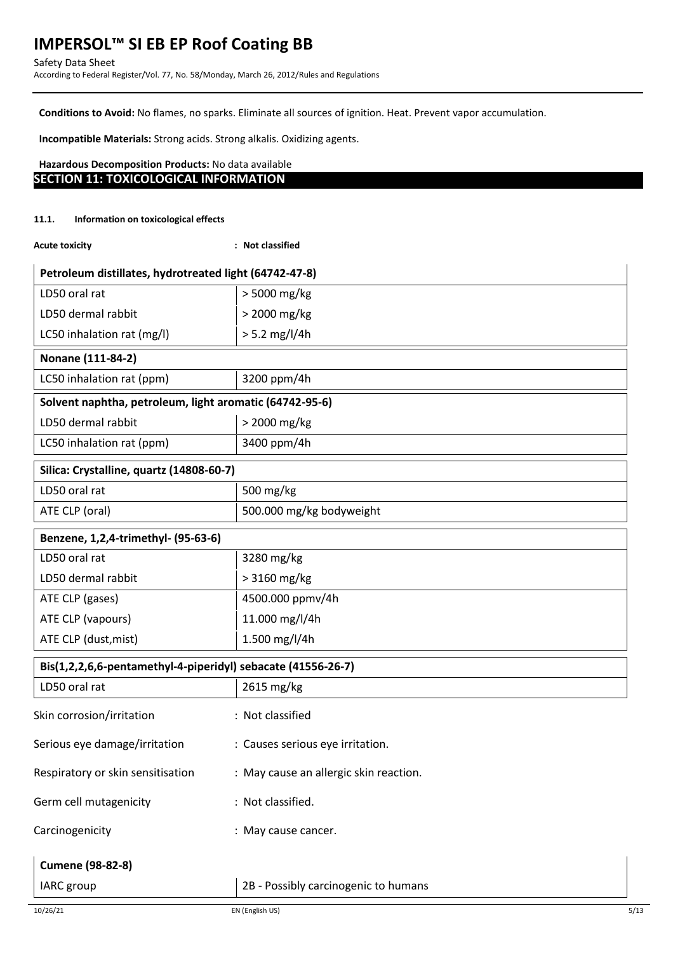**Conditions to Avoid:** No flames, no sparks. Eliminate all sources of ignition. Heat. Prevent vapor accumulation.

**Incompatible Materials:** Strong acids. Strong alkalis. Oxidizing agents.

## **Hazardous Decomposition Products:** No data available **SECTION 11: TOXICOLOGICAL INFORMATION**

#### **11.1. Information on toxicological effects**

| <b>Acute toxicity</b> |
|-----------------------|
|                       |

**Acute toxicity : Not classified**

| Petroleum distillates, hydrotreated light (64742-47-8)       |                                        |  |  |
|--------------------------------------------------------------|----------------------------------------|--|--|
| LD50 oral rat                                                | > 5000 mg/kg                           |  |  |
| LD50 dermal rabbit                                           | > 2000 mg/kg                           |  |  |
| LC50 inhalation rat (mg/l)                                   | $> 5.2$ mg/l/4h                        |  |  |
| Nonane (111-84-2)                                            |                                        |  |  |
| LC50 inhalation rat (ppm)                                    | 3200 ppm/4h                            |  |  |
| Solvent naphtha, petroleum, light aromatic (64742-95-6)      |                                        |  |  |
| LD50 dermal rabbit                                           | > 2000 mg/kg                           |  |  |
| LC50 inhalation rat (ppm)                                    | 3400 ppm/4h                            |  |  |
| Silica: Crystalline, quartz (14808-60-7)                     |                                        |  |  |
| LD50 oral rat                                                | 500 mg/kg                              |  |  |
| ATE CLP (oral)                                               | 500.000 mg/kg bodyweight               |  |  |
| Benzene, 1,2,4-trimethyl- (95-63-6)                          |                                        |  |  |
| LD50 oral rat                                                | 3280 mg/kg                             |  |  |
| LD50 dermal rabbit                                           | > 3160 mg/kg                           |  |  |
| ATE CLP (gases)                                              | 4500.000 ppmv/4h                       |  |  |
| ATE CLP (vapours)                                            | 11.000 mg/l/4h                         |  |  |
| ATE CLP (dust, mist)                                         | 1.500 mg/l/4h                          |  |  |
| Bis(1,2,2,6,6-pentamethyl-4-piperidyl) sebacate (41556-26-7) |                                        |  |  |
| LD50 oral rat                                                | 2615 mg/kg                             |  |  |
| Skin corrosion/irritation                                    | : Not classified                       |  |  |
| Serious eye damage/irritation                                | : Causes serious eye irritation.       |  |  |
| Respiratory or skin sensitisation                            | : May cause an allergic skin reaction. |  |  |
| Germ cell mutagenicity                                       | : Not classified.                      |  |  |
| Carcinogenicity                                              | : May cause cancer.                    |  |  |
| <b>Cumene (98-82-8)</b>                                      |                                        |  |  |
| IARC group                                                   | 2B - Possibly carcinogenic to humans   |  |  |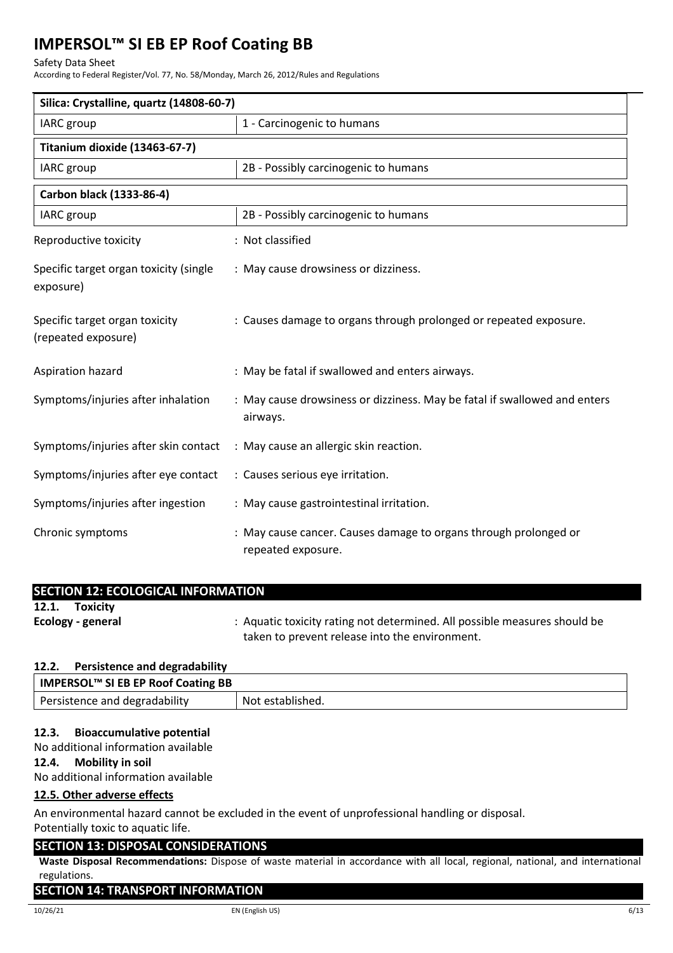### Safety Data Sheet

According to Federal Register/Vol. 77, No. 58/Monday, March 26, 2012/Rules and Regulations

| Silica: Crystalline, quartz (14808-60-7)              |                                                                                        |  |  |
|-------------------------------------------------------|----------------------------------------------------------------------------------------|--|--|
| IARC group                                            | 1 - Carcinogenic to humans                                                             |  |  |
| Titanium dioxide (13463-67-7)                         |                                                                                        |  |  |
| <b>IARC</b> group                                     | 2B - Possibly carcinogenic to humans                                                   |  |  |
| Carbon black (1333-86-4)                              |                                                                                        |  |  |
| IARC group                                            | 2B - Possibly carcinogenic to humans                                                   |  |  |
| Reproductive toxicity                                 | : Not classified                                                                       |  |  |
| Specific target organ toxicity (single<br>exposure)   | : May cause drowsiness or dizziness.                                                   |  |  |
| Specific target organ toxicity<br>(repeated exposure) | : Causes damage to organs through prolonged or repeated exposure.                      |  |  |
| Aspiration hazard                                     | : May be fatal if swallowed and enters airways.                                        |  |  |
| Symptoms/injuries after inhalation                    | : May cause drowsiness or dizziness. May be fatal if swallowed and enters<br>airways.  |  |  |
| Symptoms/injuries after skin contact                  | : May cause an allergic skin reaction.                                                 |  |  |
| Symptoms/injuries after eye contact                   | : Causes serious eye irritation.                                                       |  |  |
| Symptoms/injuries after ingestion                     | : May cause gastrointestinal irritation.                                               |  |  |
| Chronic symptoms                                      | : May cause cancer. Causes damage to organs through prolonged or<br>repeated exposure. |  |  |

| <b>SECTION 12: ECOLOGICAL INFORMATION</b> |                                                                           |
|-------------------------------------------|---------------------------------------------------------------------------|
| 12.1.<br>Toxicity                         |                                                                           |
| Ecology - general                         | : Aquatic toxicity rating not determined. All possible measures should be |
|                                           | taken to prevent release into the environment.                            |

## **12.2. Persistence and degradability**

| IMPERSOL™ SI EB EP Roof Coating BB |                  |
|------------------------------------|------------------|
| Persistence and degradability      | Not established. |

## **12.3. Bioaccumulative potential**

No additional information available

## **12.4. Mobility in soil**

No additional information available

## **12.5. Other adverse effects**

An environmental hazard cannot be excluded in the event of unprofessional handling or disposal.

Potentially toxic to aquatic life.

## **SECTION 13: DISPOSAL CONSIDERATIONS**

**Waste Disposal Recommendations:** Dispose of waste material in accordance with all local, regional, national, and international regulations.

### **SECTION 14: TRANSPORT INFORMATION**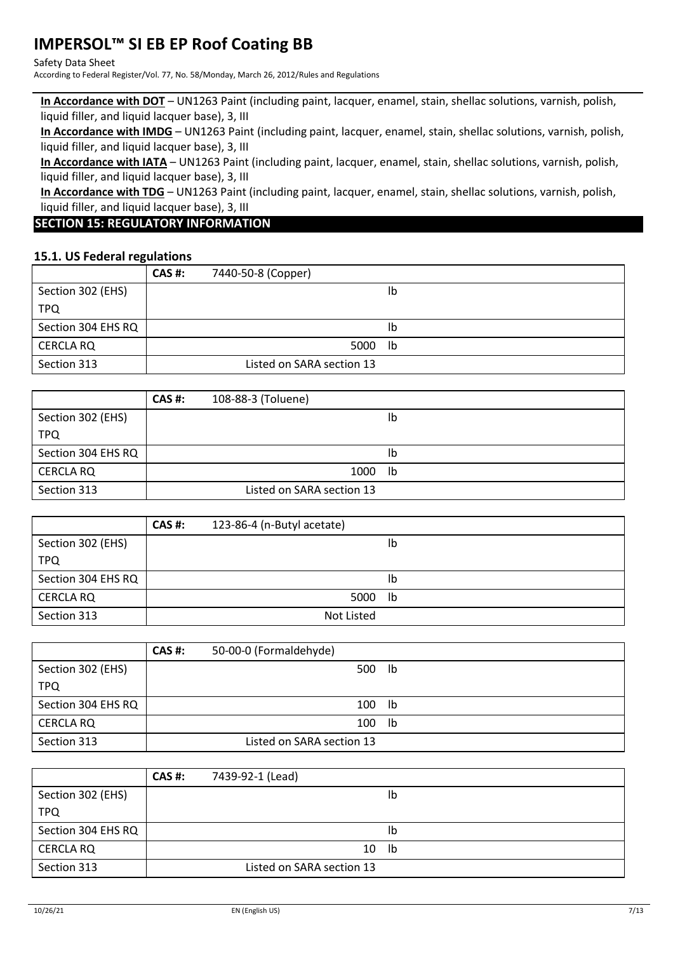## Safety Data Sheet

According to Federal Register/Vol. 77, No. 58/Monday, March 26, 2012/Rules and Regulations

**In Accordance with DOT** – UN1263 Paint (including paint, lacquer, enamel, stain, shellac solutions, varnish, polish, liquid filler, and liquid lacquer base), 3, III

**In Accordance with IMDG** – UN1263 Paint (including paint, lacquer, enamel, stain, shellac solutions, varnish, polish, liquid filler, and liquid lacquer base), 3, III

**In Accordance with IATA** – UN1263 Paint (including paint, lacquer, enamel, stain, shellac solutions, varnish, polish, liquid filler, and liquid lacquer base), 3, III

**In Accordance with TDG** – UN1263 Paint (including paint, lacquer, enamel, stain, shellac solutions, varnish, polish, liquid filler, and liquid lacquer base), 3, III

## **SECTION 15: REGULATORY INFORMATION**

## **15.1. US Federal regulations**

|                    | <b>CAS #:</b> | 7440-50-8 (Copper)        |    |
|--------------------|---------------|---------------------------|----|
| Section 302 (EHS)  |               |                           | lb |
| <b>TPQ</b>         |               |                           |    |
| Section 304 EHS RQ |               |                           | Ib |
| <b>CERCLA RQ</b>   |               | 5000                      | lb |
| Section 313        |               | Listed on SARA section 13 |    |

|                    | CAS #: | 108-88-3 (Toluene)        |    |
|--------------------|--------|---------------------------|----|
| Section 302 (EHS)  |        |                           | lb |
| <b>TPQ</b>         |        |                           |    |
| Section 304 EHS RQ |        |                           | lb |
| <b>CERCLA RQ</b>   |        | 1000                      | lb |
| Section 313        |        | Listed on SARA section 13 |    |

|                    | <b>CAS #:</b> | 123-86-4 (n-Butyl acetate) |    |
|--------------------|---------------|----------------------------|----|
| Section 302 (EHS)  |               |                            | lb |
| <b>TPQ</b>         |               |                            |    |
| Section 304 EHS RQ |               |                            | lb |
| <b>CERCLA RQ</b>   |               | 5000                       | lb |
| Section 313        |               | Not Listed                 |    |

|                    | <b>CAS #:</b> | 50-00-0 (Formaldehyde)    |    |  |
|--------------------|---------------|---------------------------|----|--|
| Section 302 (EHS)  |               | 500                       | lb |  |
| <b>TPQ</b>         |               |                           |    |  |
| Section 304 EHS RQ |               | 100                       | lb |  |
| <b>CERCLA RQ</b>   |               | 100                       | lb |  |
| Section 313        |               | Listed on SARA section 13 |    |  |

|                    | <b>CAS #:</b> | 7439-92-1 (Lead)          |    |
|--------------------|---------------|---------------------------|----|
| Section 302 (EHS)  |               |                           | Ib |
| <b>TPQ</b>         |               |                           |    |
| Section 304 EHS RQ |               |                           | Ib |
| <b>CERCLA RQ</b>   |               | 10                        | lb |
| Section 313        |               | Listed on SARA section 13 |    |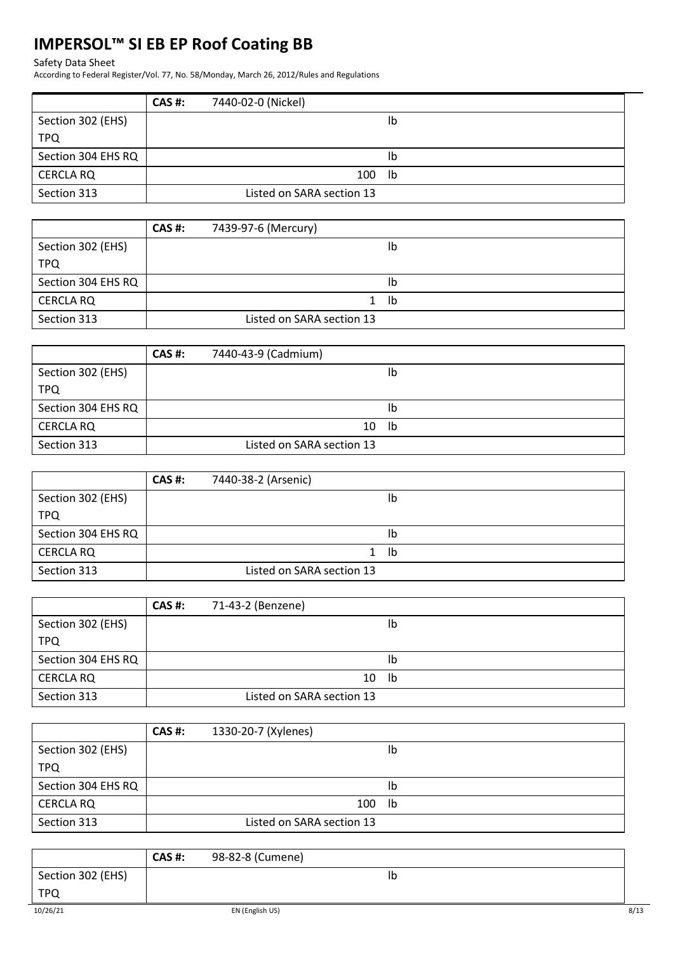## Safety Data Sheet

According to Federal Register/Vol. 77, No. 58/Monday, March 26, 2012/Rules and Regulations

|                    | <b>CAS #:</b> | 7440-02-0 (Nickel)        |    |
|--------------------|---------------|---------------------------|----|
| Section 302 (EHS)  |               |                           | lb |
| <b>TPQ</b>         |               |                           |    |
| Section 304 EHS RQ |               |                           | Ib |
| <b>CERCLA RQ</b>   |               | 100                       | lb |
| Section 313        |               | Listed on SARA section 13 |    |

|                    | <b>CAS #:</b> | 7439-97-6 (Mercury)       |    |  |
|--------------------|---------------|---------------------------|----|--|
| Section 302 (EHS)  |               |                           | Ib |  |
| <b>TPQ</b>         |               |                           |    |  |
| Section 304 EHS RQ |               |                           | Ib |  |
| <b>CERCLA RQ</b>   |               |                           | lb |  |
| Section 313        |               | Listed on SARA section 13 |    |  |

|                    | CAS #: | 7440-43-9 (Cadmium)       |    |
|--------------------|--------|---------------------------|----|
| Section 302 (EHS)  |        |                           | lb |
| <b>TPQ</b>         |        |                           |    |
| Section 304 EHS RQ |        |                           | lb |
| <b>CERCLA RQ</b>   |        | 10                        | lb |
| Section 313        |        | Listed on SARA section 13 |    |

|                    | <b>CAS #:</b> | 7440-38-2 (Arsenic)       |    |  |
|--------------------|---------------|---------------------------|----|--|
| Section 302 (EHS)  |               |                           | lb |  |
| <b>TPQ</b>         |               |                           |    |  |
| Section 304 EHS RQ |               |                           | lb |  |
| <b>CERCLA RQ</b>   |               |                           | lb |  |
| Section 313        |               | Listed on SARA section 13 |    |  |

|                    | CAS #: | 71-43-2 (Benzene)         |    |
|--------------------|--------|---------------------------|----|
| Section 302 (EHS)  |        |                           | lb |
| <b>TPQ</b>         |        |                           |    |
| Section 304 EHS RQ |        |                           | lb |
| <b>CERCLA RQ</b>   |        | 10                        | lb |
| Section 313        |        | Listed on SARA section 13 |    |

|                    | <b>CAS #:</b> | 1330-20-7 (Xylenes)       |    |
|--------------------|---------------|---------------------------|----|
| Section 302 (EHS)  |               |                           | Ib |
| <b>TPQ</b>         |               |                           |    |
| Section 304 EHS RQ |               |                           | Ib |
| <b>CERCLA RQ</b>   |               | 100                       | lb |
| Section 313        |               | Listed on SARA section 13 |    |

|                   | CAS#: | 98-82-8 (Cumene) |    |      |
|-------------------|-------|------------------|----|------|
| Section 302 (EHS) |       |                  | Ib |      |
| <b>TPQ</b>        |       |                  |    |      |
| 10/26/21          |       | EN (English US)  |    | 8/13 |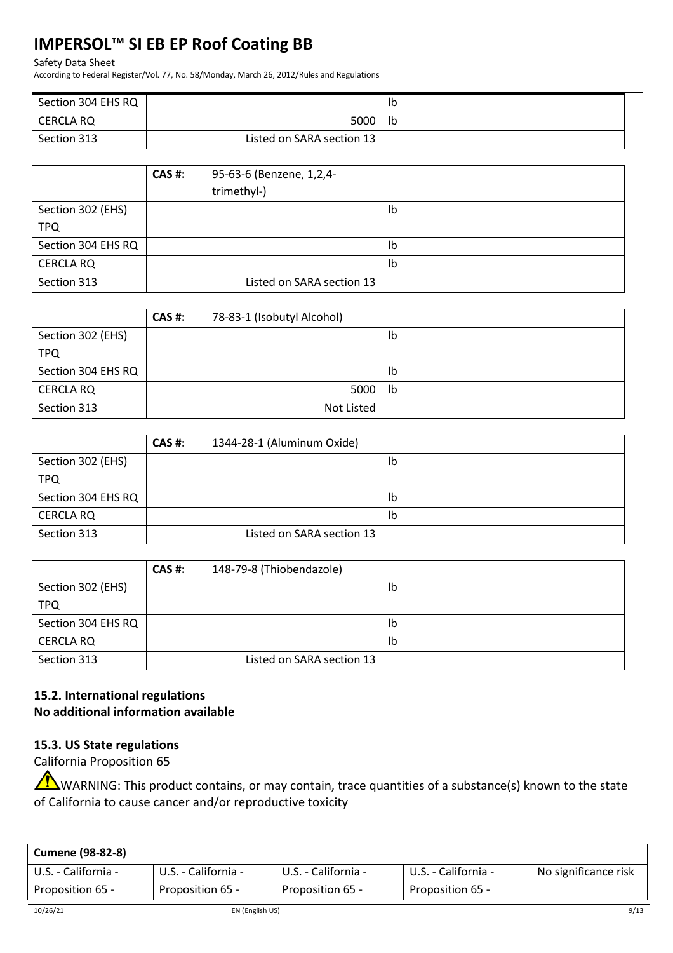#### Safety Data Sheet

According to Federal Register/Vol. 77, No. 58/Monday, March 26, 2012/Rules and Regulations

| Section 304 EHS RQ |                           | Ib |
|--------------------|---------------------------|----|
| CERCLA RQ          | 5000 lb                   |    |
| Section 313        | Listed on SARA section 13 |    |

|                    | <b>CAS#:</b> | 95-63-6 (Benzene, 1,2,4-  |
|--------------------|--------------|---------------------------|
|                    |              | trimethyl-)               |
| Section 302 (EHS)  |              | Ib                        |
| <b>TPQ</b>         |              |                           |
| Section 304 EHS RQ |              | Ib                        |
| <b>CERCLA RQ</b>   |              | Ib                        |
| Section 313        |              | Listed on SARA section 13 |

|                    | <b>CAS #:</b> | 78-83-1 (Isobutyl Alcohol) |    |
|--------------------|---------------|----------------------------|----|
| Section 302 (EHS)  |               |                            | lb |
| <b>TPQ</b>         |               |                            |    |
| Section 304 EHS RQ |               |                            | lb |
| <b>CERCLA RQ</b>   |               | 5000                       | lb |
| Section 313        |               | Not Listed                 |    |

|                    | <b>CAS #:</b> | 1344-28-1 (Aluminum Oxide) |
|--------------------|---------------|----------------------------|
| Section 302 (EHS)  |               | lb                         |
| <b>TPQ</b>         |               |                            |
| Section 304 EHS RQ |               | Ib                         |
| <b>CERCLA RQ</b>   |               | Ib                         |
| Section 313        |               | Listed on SARA section 13  |

|                    | <b>CAS #:</b> | 148-79-8 (Thiobendazole)  |
|--------------------|---------------|---------------------------|
| Section 302 (EHS)  |               | Ib                        |
| <b>TPQ</b>         |               |                           |
| Section 304 EHS RQ |               | Ib                        |
| <b>CERCLA RQ</b>   |               | Ib                        |
| Section 313        |               | Listed on SARA section 13 |

## **15.2. International regulations No additional information available**

## **15.3. US State regulations**

California Proposition 65

WARNING: This product contains, or may contain, trace quantities of a substance(s) known to the state of California to cause cancer and/or reproductive toxicity

| <b>Cumene (98-82-8)</b> |                     |                     |                     |                      |
|-------------------------|---------------------|---------------------|---------------------|----------------------|
| U.S. - California -     | U.S. - California - | U.S. - California - | U.S. - California - | No significance risk |
| Proposition 65 -        | Proposition 65 -    | Proposition 65 -    | Proposition 65 -    |                      |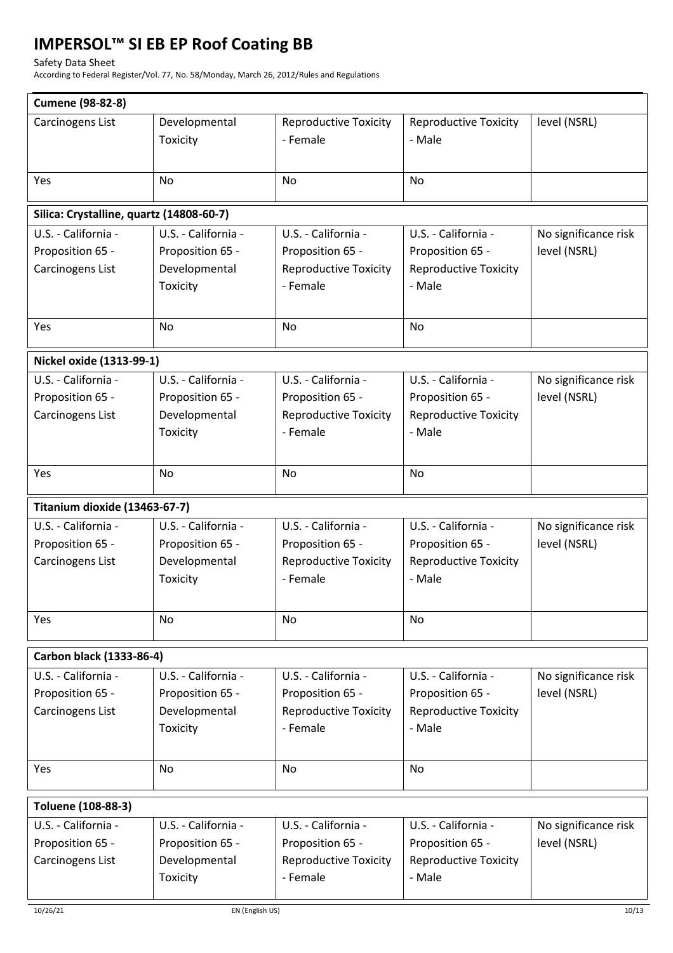### Safety Data Sheet

According to Federal Register/Vol. 77, No. 58/Monday, March 26, 2012/Rules and Regulations

|                                          | <b>Cumene (98-82-8)</b> |                              |                              |                      |  |  |  |  |
|------------------------------------------|-------------------------|------------------------------|------------------------------|----------------------|--|--|--|--|
| Carcinogens List                         | Developmental           | <b>Reproductive Toxicity</b> | <b>Reproductive Toxicity</b> | level (NSRL)         |  |  |  |  |
|                                          | Toxicity                | - Female                     | - Male                       |                      |  |  |  |  |
|                                          |                         |                              |                              |                      |  |  |  |  |
| Yes                                      | <b>No</b>               | No                           | No                           |                      |  |  |  |  |
|                                          |                         |                              |                              |                      |  |  |  |  |
| Silica: Crystalline, quartz (14808-60-7) |                         |                              |                              |                      |  |  |  |  |
| U.S. - California -                      | U.S. - California -     | U.S. - California -          | U.S. - California -          | No significance risk |  |  |  |  |
| Proposition 65 -                         | Proposition 65 -        | Proposition 65 -             | Proposition 65 -             | level (NSRL)         |  |  |  |  |
| Carcinogens List                         | Developmental           | <b>Reproductive Toxicity</b> | <b>Reproductive Toxicity</b> |                      |  |  |  |  |
|                                          | Toxicity                | - Female                     | - Male                       |                      |  |  |  |  |
|                                          |                         |                              |                              |                      |  |  |  |  |
| Yes                                      | <b>No</b>               | <b>No</b>                    | No                           |                      |  |  |  |  |
|                                          |                         |                              |                              |                      |  |  |  |  |
| Nickel oxide (1313-99-1)                 |                         |                              |                              |                      |  |  |  |  |
| U.S. - California -                      | U.S. - California -     | U.S. - California -          | U.S. - California -          | No significance risk |  |  |  |  |
| Proposition 65 -                         | Proposition 65 -        | Proposition 65 -             | Proposition 65 -             | level (NSRL)         |  |  |  |  |
| Carcinogens List                         | Developmental           | <b>Reproductive Toxicity</b> | <b>Reproductive Toxicity</b> |                      |  |  |  |  |
|                                          | Toxicity                | - Female                     | - Male                       |                      |  |  |  |  |
|                                          |                         |                              |                              |                      |  |  |  |  |
| Yes                                      | <b>No</b>               | <b>No</b>                    | No                           |                      |  |  |  |  |
|                                          |                         |                              |                              |                      |  |  |  |  |
| Titanium dioxide (13463-67-7)            | U.S. - California -     | U.S. - California -          |                              |                      |  |  |  |  |
| U.S. - California -                      |                         |                              | U.S. - California -          | No significance risk |  |  |  |  |
| Proposition 65 -                         | Proposition 65 -        | Proposition 65 -             | Proposition 65 -             | level (NSRL)         |  |  |  |  |
| Carcinogens List                         | Developmental           | <b>Reproductive Toxicity</b> | <b>Reproductive Toxicity</b> |                      |  |  |  |  |
|                                          |                         |                              |                              |                      |  |  |  |  |
|                                          | Toxicity                | - Female                     | - Male                       |                      |  |  |  |  |
|                                          |                         |                              |                              |                      |  |  |  |  |
| Yes                                      | No                      | <b>No</b>                    | <b>No</b>                    |                      |  |  |  |  |
|                                          |                         |                              |                              |                      |  |  |  |  |
| Carbon black (1333-86-4)                 |                         |                              |                              |                      |  |  |  |  |
| U.S. - California -                      | U.S. - California -     | U.S. - California -          | U.S. - California -          | No significance risk |  |  |  |  |
| Proposition 65 -                         | Proposition 65 -        | Proposition 65 -             | Proposition 65 -             | level (NSRL)         |  |  |  |  |
| Carcinogens List                         | Developmental           | <b>Reproductive Toxicity</b> | <b>Reproductive Toxicity</b> |                      |  |  |  |  |
|                                          | Toxicity                | - Female                     | - Male                       |                      |  |  |  |  |
|                                          |                         |                              |                              |                      |  |  |  |  |
| Yes                                      | No                      | No                           | No                           |                      |  |  |  |  |
|                                          |                         |                              |                              |                      |  |  |  |  |
| Toluene (108-88-3)                       |                         |                              |                              |                      |  |  |  |  |
| U.S. - California -                      | U.S. - California -     | U.S. - California -          | U.S. - California -          | No significance risk |  |  |  |  |
| Proposition 65 -                         | Proposition 65 -        | Proposition 65 -             | Proposition 65 -             | level (NSRL)         |  |  |  |  |
| Carcinogens List                         | Developmental           | <b>Reproductive Toxicity</b> | <b>Reproductive Toxicity</b> |                      |  |  |  |  |
|                                          | Toxicity                | - Female                     | - Male                       |                      |  |  |  |  |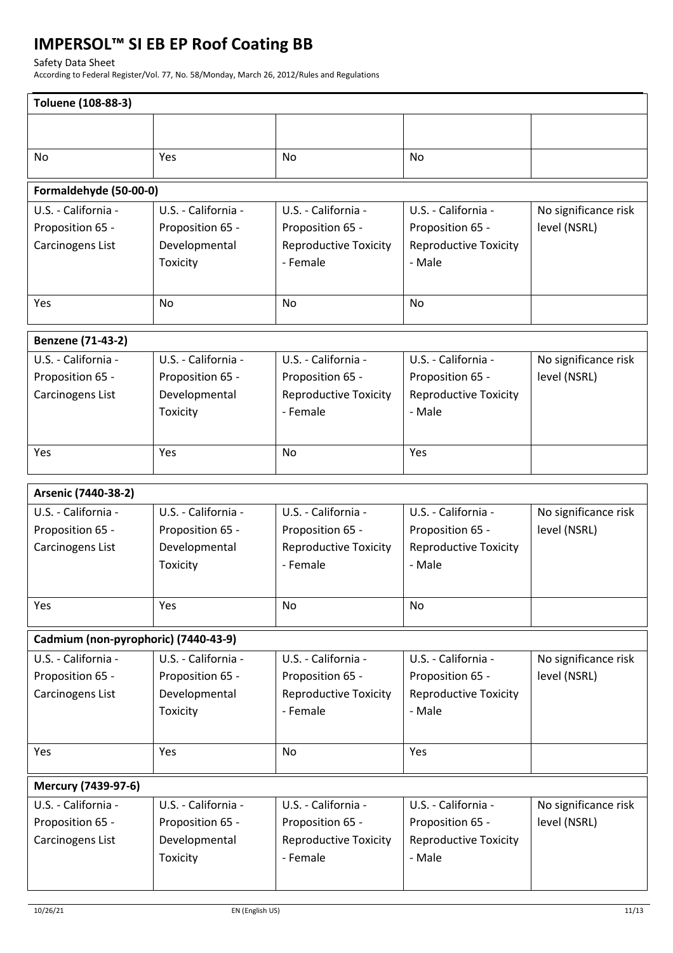Safety Data Sheet

According to Federal Register/Vol. 77, No. 58/Monday, March 26, 2012/Rules and Regulations

| Toluene (108-88-3)                   |                     |                              |                              |                      |  |  |  |
|--------------------------------------|---------------------|------------------------------|------------------------------|----------------------|--|--|--|
|                                      |                     |                              |                              |                      |  |  |  |
|                                      |                     |                              |                              |                      |  |  |  |
| No                                   | Yes                 | No                           | No                           |                      |  |  |  |
| Formaldehyde (50-00-0)               |                     |                              |                              |                      |  |  |  |
| U.S. - California -                  | U.S. - California - | U.S. - California -          | U.S. - California -          | No significance risk |  |  |  |
| Proposition 65 -                     | Proposition 65 -    | Proposition 65 -             | Proposition 65 -             | level (NSRL)         |  |  |  |
| Carcinogens List                     | Developmental       | <b>Reproductive Toxicity</b> | <b>Reproductive Toxicity</b> |                      |  |  |  |
|                                      | Toxicity            | - Female                     | - Male                       |                      |  |  |  |
|                                      |                     |                              |                              |                      |  |  |  |
| Yes                                  | No                  | No                           | No                           |                      |  |  |  |
| Benzene (71-43-2)                    |                     |                              |                              |                      |  |  |  |
| U.S. - California -                  | U.S. - California - | U.S. - California -          | U.S. - California -          | No significance risk |  |  |  |
| Proposition 65 -                     | Proposition 65 -    | Proposition 65 -             | Proposition 65 -             | level (NSRL)         |  |  |  |
| Carcinogens List                     | Developmental       | <b>Reproductive Toxicity</b> | <b>Reproductive Toxicity</b> |                      |  |  |  |
|                                      | Toxicity            | - Female                     | - Male                       |                      |  |  |  |
|                                      |                     |                              |                              |                      |  |  |  |
| Yes                                  | Yes                 | No                           | Yes                          |                      |  |  |  |
|                                      |                     |                              |                              |                      |  |  |  |
| Arsenic (7440-38-2)                  |                     |                              |                              |                      |  |  |  |
| U.S. - California -                  | U.S. - California - | U.S. - California -          | U.S. - California -          | No significance risk |  |  |  |
| Proposition 65 -                     | Proposition 65 -    | Proposition 65 -             | Proposition 65 -             | level (NSRL)         |  |  |  |
| Carcinogens List                     | Developmental       | <b>Reproductive Toxicity</b> | <b>Reproductive Toxicity</b> |                      |  |  |  |
|                                      | Toxicity            | - Female                     | - Male                       |                      |  |  |  |
|                                      |                     |                              |                              |                      |  |  |  |
| Yes                                  | Yes                 | No                           | No                           |                      |  |  |  |
| Cadmium (non-pyrophoric) (7440-43-9) |                     |                              |                              |                      |  |  |  |
| U.S. - California -                  | U.S. - California - | U.S. - California -          | U.S. - California -          | No significance risk |  |  |  |
| Proposition 65 -                     | Proposition 65 -    | Proposition 65 -             | Proposition 65 -             | level (NSRL)         |  |  |  |
| Carcinogens List                     | Developmental       | <b>Reproductive Toxicity</b> | <b>Reproductive Toxicity</b> |                      |  |  |  |
|                                      | Toxicity            | - Female                     | - Male                       |                      |  |  |  |
|                                      |                     |                              |                              |                      |  |  |  |
| Yes                                  | Yes                 | No                           | Yes                          |                      |  |  |  |
|                                      |                     |                              |                              |                      |  |  |  |
| Mercury (7439-97-6)                  |                     |                              |                              |                      |  |  |  |
| U.S. - California -                  | U.S. - California - | U.S. - California -          | U.S. - California -          | No significance risk |  |  |  |
| Proposition 65 -                     | Proposition 65 -    | Proposition 65 -             | Proposition 65 -             | level (NSRL)         |  |  |  |
| Carcinogens List                     | Developmental       | <b>Reproductive Toxicity</b> | <b>Reproductive Toxicity</b> |                      |  |  |  |
|                                      | Toxicity            | - Female                     | - Male                       |                      |  |  |  |
|                                      |                     |                              |                              |                      |  |  |  |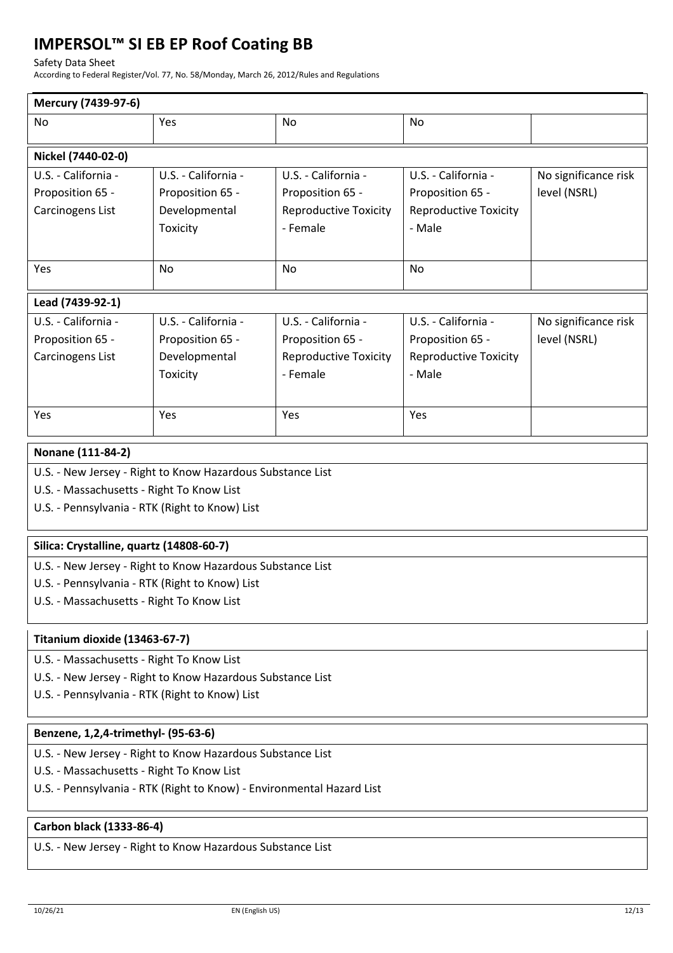Safety Data Sheet

According to Federal Register/Vol. 77, No. 58/Monday, March 26, 2012/Rules and Regulations

| Mercury (7439-97-6)                                        |                     |                              |                              |                      |  |  |  |
|------------------------------------------------------------|---------------------|------------------------------|------------------------------|----------------------|--|--|--|
| No.                                                        | Yes                 | <b>No</b>                    | No                           |                      |  |  |  |
| Nickel (7440-02-0)                                         |                     |                              |                              |                      |  |  |  |
| U.S. - California -                                        | U.S. - California - | U.S. - California -          | U.S. - California -          | No significance risk |  |  |  |
| Proposition 65 -                                           | Proposition 65 -    | Proposition 65 -             | Proposition 65 -             | level (NSRL)         |  |  |  |
| Carcinogens List                                           | Developmental       | <b>Reproductive Toxicity</b> | <b>Reproductive Toxicity</b> |                      |  |  |  |
|                                                            | Toxicity            | - Female                     | - Male                       |                      |  |  |  |
|                                                            |                     |                              |                              |                      |  |  |  |
| Yes                                                        | <b>No</b>           | <b>No</b>                    | No                           |                      |  |  |  |
|                                                            |                     |                              |                              |                      |  |  |  |
| Lead (7439-92-1)                                           |                     |                              |                              |                      |  |  |  |
| U.S. - California -                                        | U.S. - California - | U.S. - California -          | U.S. - California -          | No significance risk |  |  |  |
| Proposition 65 -                                           | Proposition 65 -    | Proposition 65 -             | Proposition 65 -             | level (NSRL)         |  |  |  |
| Carcinogens List                                           | Developmental       | <b>Reproductive Toxicity</b> | <b>Reproductive Toxicity</b> |                      |  |  |  |
|                                                            | Toxicity            | - Female                     | - Male                       |                      |  |  |  |
|                                                            |                     |                              |                              |                      |  |  |  |
| Yes                                                        | Yes                 | Yes                          | Yes                          |                      |  |  |  |
|                                                            |                     |                              |                              |                      |  |  |  |
| Nonane (111-84-2)                                          |                     |                              |                              |                      |  |  |  |
| U.S. - New Jersey - Right to Know Hazardous Substance List |                     |                              |                              |                      |  |  |  |
| U.S. - Massachusetts - Right To Know List                  |                     |                              |                              |                      |  |  |  |
| U.S. - Pennsylvania - RTK (Right to Know) List             |                     |                              |                              |                      |  |  |  |
| Silica: Crystalline, quartz (14808-60-7)                   |                     |                              |                              |                      |  |  |  |
| U.S. - New Jersey - Right to Know Hazardous Substance List |                     |                              |                              |                      |  |  |  |
| U.S. - Pennsylvania - RTK (Right to Know) List             |                     |                              |                              |                      |  |  |  |
| U.S. - Massachusetts - Right To Know List                  |                     |                              |                              |                      |  |  |  |
|                                                            |                     |                              |                              |                      |  |  |  |
| Titanium dioxide (13463-67-7)                              |                     |                              |                              |                      |  |  |  |
|                                                            |                     |                              |                              |                      |  |  |  |

U.S. - Massachusetts - Right To Know List

- U.S. New Jersey Right to Know Hazardous Substance List
- U.S. Pennsylvania RTK (Right to Know) List

## **Benzene, 1,2,4-trimethyl- (95-63-6)**

- U.S. New Jersey Right to Know Hazardous Substance List
- U.S. Massachusetts Right To Know List
- U.S. Pennsylvania RTK (Right to Know) Environmental Hazard List

## **Carbon black (1333-86-4)**

U.S. - New Jersey - Right to Know Hazardous Substance List